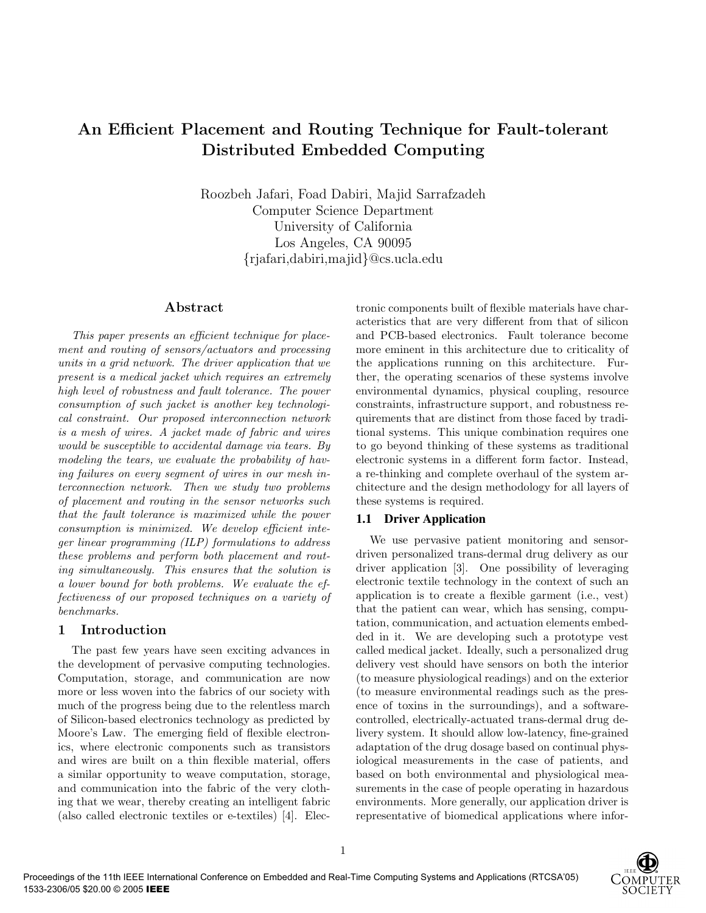# **An Efficient Placement and Routing Technique for Fault-tolerant Distributed Embedded Computing**

Roozbeh Jafari, Foad Dabiri, Majid Sarrafzadeh Computer Science Department University of California Los Angeles, CA 90095 {rjafari,dabiri,majid}@cs.ucla.edu

#### **Abstract**

This paper presents an efficient technique for placement and routing of sensors/actuators and processing units in a grid network. The driver application that we present is a medical jacket which requires an extremely high level of robustness and fault tolerance. The power consumption of such jacket is another key technological constraint. Our proposed interconnection network is a mesh of wires. A jacket made of fabric and wires would be susceptible to accidental damage via tears. By modeling the tears, we evaluate the probability of having failures on every segment of wires in our mesh interconnection network. Then we study two problems of placement and routing in the sensor networks such that the fault tolerance is maximized while the power consumption is minimized. We develop efficient integer linear programming (ILP) formulations to address these problems and perform both placement and routing simultaneously. This ensures that the solution is a lower bound for both problems. We evaluate the effectiveness of our proposed techniques on a variety of benchmarks.

### **1 Introduction**

The past few years have seen exciting advances in the development of pervasive computing technologies. Computation, storage, and communication are now more or less woven into the fabrics of our society with much of the progress being due to the relentless march of Silicon-based electronics technology as predicted by Moore's Law. The emerging field of flexible electronics, where electronic components such as transistors and wires are built on a thin flexible material, offers a similar opportunity to weave computation, storage, and communication into the fabric of the very clothing that we wear, thereby creating an intelligent fabric (also called electronic textiles or e-textiles) [4]. Electronic components built of flexible materials have characteristics that are very different from that of silicon and PCB-based electronics. Fault tolerance become more eminent in this architecture due to criticality of the applications running on this architecture. Further, the operating scenarios of these systems involve environmental dynamics, physical coupling, resource constraints, infrastructure support, and robustness requirements that are distinct from those faced by traditional systems. This unique combination requires one to go beyond thinking of these systems as traditional electronic systems in a different form factor. Instead, a re-thinking and complete overhaul of the system architecture and the design methodology for all layers of these systems is required.

#### **1.1 Driver Application**

We use pervasive patient monitoring and sensordriven personalized trans-dermal drug delivery as our driver application [3]. One possibility of leveraging electronic textile technology in the context of such an application is to create a flexible garment (i.e., vest) that the patient can wear, which has sensing, computation, communication, and actuation elements embedded in it. We are developing such a prototype vest called medical jacket. Ideally, such a personalized drug delivery vest should have sensors on both the interior (to measure physiological readings) and on the exterior (to measure environmental readings such as the presence of toxins in the surroundings), and a softwarecontrolled, electrically-actuated trans-dermal drug delivery system. It should allow low-latency, fine-grained adaptation of the drug dosage based on continual physiological measurements in the case of patients, and based on both environmental and physiological measurements in the case of people operating in hazardous environments. More generally, our application driver is representative of biomedical applications where infor-

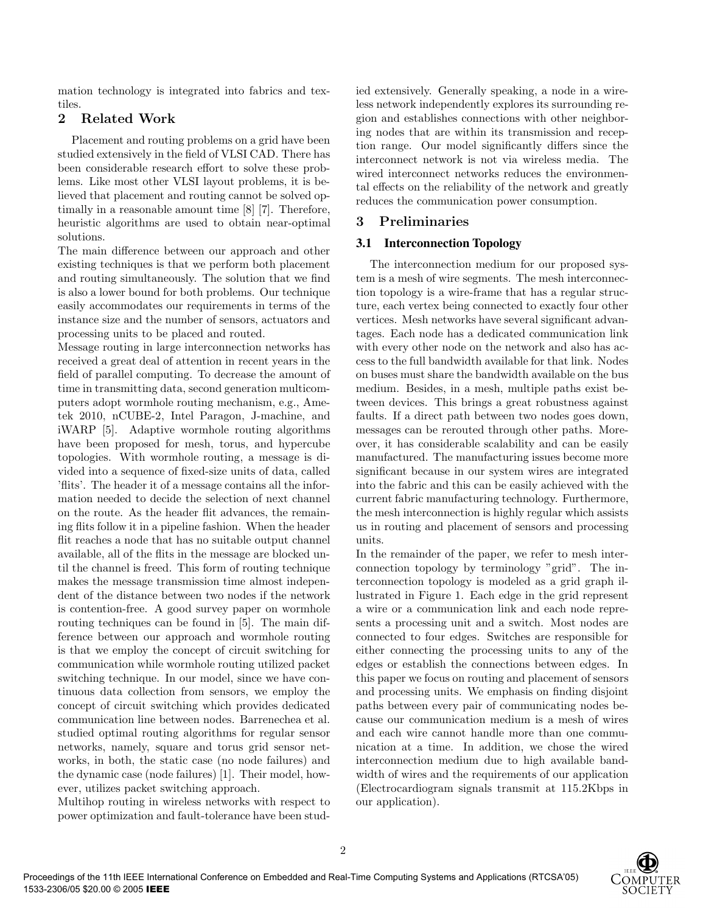mation technology is integrated into fabrics and textiles.

# **2 Related Work**

Placement and routing problems on a grid have been studied extensively in the field of VLSI CAD. There has been considerable research effort to solve these problems. Like most other VLSI layout problems, it is believed that placement and routing cannot be solved optimally in a reasonable amount time [8] [7]. Therefore, heuristic algorithms are used to obtain near-optimal solutions.

The main difference between our approach and other existing techniques is that we perform both placement and routing simultaneously. The solution that we find is also a lower bound for both problems. Our technique easily accommodates our requirements in terms of the instance size and the number of sensors, actuators and processing units to be placed and routed.

Message routing in large interconnection networks has received a great deal of attention in recent years in the field of parallel computing. To decrease the amount of time in transmitting data, second generation multicomputers adopt wormhole routing mechanism, e.g., Ametek 2010, nCUBE-2, Intel Paragon, J-machine, and iWARP [5]. Adaptive wormhole routing algorithms have been proposed for mesh, torus, and hypercube topologies. With wormhole routing, a message is divided into a sequence of fixed-size units of data, called 'flits'. The header it of a message contains all the information needed to decide the selection of next channel on the route. As the header flit advances, the remaining flits follow it in a pipeline fashion. When the header flit reaches a node that has no suitable output channel available, all of the flits in the message are blocked until the channel is freed. This form of routing technique makes the message transmission time almost independent of the distance between two nodes if the network is contention-free. A good survey paper on wormhole routing techniques can be found in [5]. The main difference between our approach and wormhole routing is that we employ the concept of circuit switching for communication while wormhole routing utilized packet switching technique. In our model, since we have continuous data collection from sensors, we employ the concept of circuit switching which provides dedicated communication line between nodes. Barrenechea et al. studied optimal routing algorithms for regular sensor networks, namely, square and torus grid sensor networks, in both, the static case (no node failures) and the dynamic case (node failures) [1]. Their model, however, utilizes packet switching approach.

Multihop routing in wireless networks with respect to power optimization and fault-tolerance have been studied extensively. Generally speaking, a node in a wireless network independently explores its surrounding region and establishes connections with other neighboring nodes that are within its transmission and reception range. Our model significantly differs since the interconnect network is not via wireless media. The wired interconnect networks reduces the environmental effects on the reliability of the network and greatly reduces the communication power consumption.

# **3 Preliminaries**

# **3.1 Interconnection Topology**

The interconnection medium for our proposed system is a mesh of wire segments. The mesh interconnection topology is a wire-frame that has a regular structure, each vertex being connected to exactly four other vertices. Mesh networks have several significant advantages. Each node has a dedicated communication link with every other node on the network and also has access to the full bandwidth available for that link. Nodes on buses must share the bandwidth available on the bus medium. Besides, in a mesh, multiple paths exist between devices. This brings a great robustness against faults. If a direct path between two nodes goes down, messages can be rerouted through other paths. Moreover, it has considerable scalability and can be easily manufactured. The manufacturing issues become more significant because in our system wires are integrated into the fabric and this can be easily achieved with the current fabric manufacturing technology. Furthermore, the mesh interconnection is highly regular which assists us in routing and placement of sensors and processing units.

In the remainder of the paper, we refer to mesh interconnection topology by terminology "grid". The interconnection topology is modeled as a grid graph illustrated in Figure 1. Each edge in the grid represent a wire or a communication link and each node represents a processing unit and a switch. Most nodes are connected to four edges. Switches are responsible for either connecting the processing units to any of the edges or establish the connections between edges. In this paper we focus on routing and placement of sensors and processing units. We emphasis on finding disjoint paths between every pair of communicating nodes because our communication medium is a mesh of wires and each wire cannot handle more than one communication at a time. In addition, we chose the wired interconnection medium due to high available bandwidth of wires and the requirements of our application (Electrocardiogram signals transmit at 115.2Kbps in our application).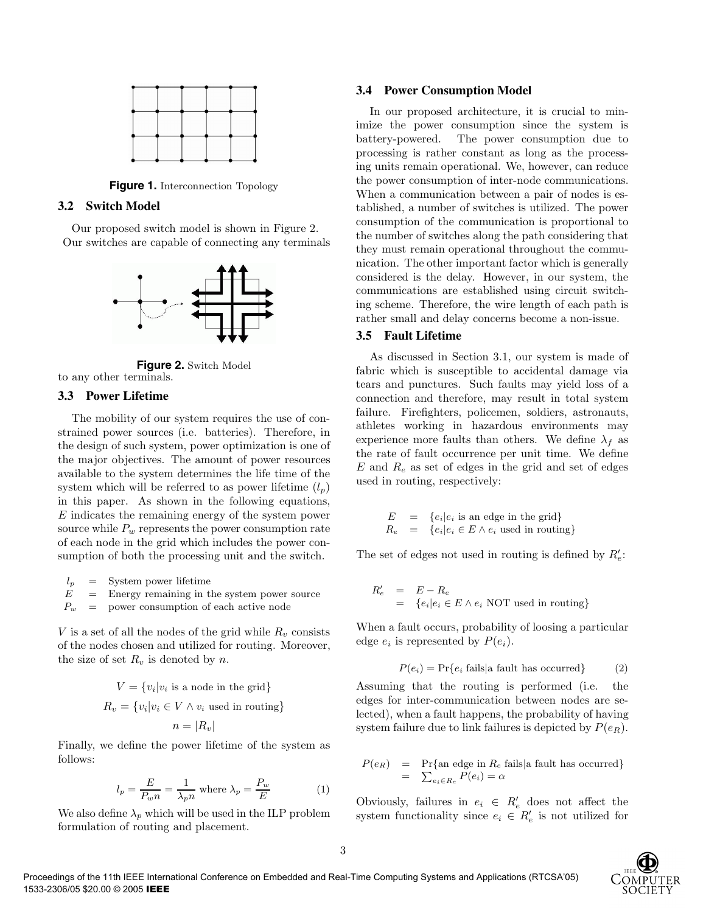

**Figure 1.** Interconnection Topology

#### **3.2 Switch Model**

Our proposed switch model is shown in Figure 2. Our switches are capable of connecting any terminals



**Figure 2.** Switch Model to any other terminals.

#### **3.3 Power Lifetime**

The mobility of our system requires the use of constrained power sources (i.e. batteries). Therefore, in the design of such system, power optimization is one of the major objectives. The amount of power resources available to the system determines the life time of the system which will be referred to as power lifetime  $(l_n)$ in this paper. As shown in the following equations, E indicates the remaining energy of the system power source while  $P_w$  represents the power consumption rate of each node in the grid which includes the power consumption of both the processing unit and the switch.

 $l_p$  = System power lifetime  $E =$  Energy remaining in the system power source  $P_w$  = power consumption of each active node

V is a set of all the nodes of the grid while  $R_v$  consists of the nodes chosen and utilized for routing. Moreover, the size of set  $R_v$  is denoted by n.

$$
V = \{v_i|v_i \text{ is a node in the grid}\}
$$
  

$$
R_v = \{v_i|v_i \in V \land v_i \text{ used in routing}\}
$$
  

$$
n = |R_v|
$$

Finally, we define the power lifetime of the system as follows:

$$
l_p = \frac{E}{P_w n} = \frac{1}{\lambda_p n} \text{ where } \lambda_p = \frac{P_w}{E} \tag{1}
$$

We also define  $\lambda_p$  which will be used in the ILP problem formulation of routing and placement.

#### **3.4 Power Consumption Model**

In our proposed architecture, it is crucial to minimize the power consumption since the system is battery-powered. The power consumption due to processing is rather constant as long as the processing units remain operational. We, however, can reduce the power consumption of inter-node communications. When a communication between a pair of nodes is established, a number of switches is utilized. The power consumption of the communication is proportional to the number of switches along the path considering that they must remain operational throughout the communication. The other important factor which is generally considered is the delay. However, in our system, the communications are established using circuit switching scheme. Therefore, the wire length of each path is rather small and delay concerns become a non-issue.

#### **3.5 Fault Lifetime**

As discussed in Section 3.1, our system is made of fabric which is susceptible to accidental damage via tears and punctures. Such faults may yield loss of a connection and therefore, may result in total system failure. Firefighters, policemen, soldiers, astronauts, athletes working in hazardous environments may experience more faults than others. We define  $\lambda_f$  as the rate of fault occurrence per unit time. We define  $E$  and  $R_e$  as set of edges in the grid and set of edges used in routing, respectively:

$$
E = \{e_i | e_i \text{ is an edge in the grid}\}
$$
  

$$
R_e = \{e_i | e_i \in E \land e_i \text{ used in routing}\}
$$

The set of edges not used in routing is defined by  $R'_e$ :

$$
R'_e = E - R_e
$$
  
= { $e_i$ | $e_i \in E \wedge e_i$  NOT used in routing}

When a fault occurs, probability of loosing a particular edge  $e_i$  is represented by  $P(e_i)$ .

$$
P(e_i) = \Pr\{e_i \text{ fails} | \text{a fault has occurred}\}\tag{2}
$$

Assuming that the routing is performed (i.e. the edges for inter-communication between nodes are selected), when a fault happens, the probability of having system failure due to link failures is depicted by  $P(e_R)$ .

$$
P(e_R) = \Pr{\text{an edge in } R_e \text{ fails} | \text{a fault has occurred}}\n= \sum_{e_i \in R_e} P(e_i) = \alpha
$$

Obviously, failures in  $e_i \in R'_e$  does not affect the system functionality since  $e_i \in R'_e$  is not utilized for

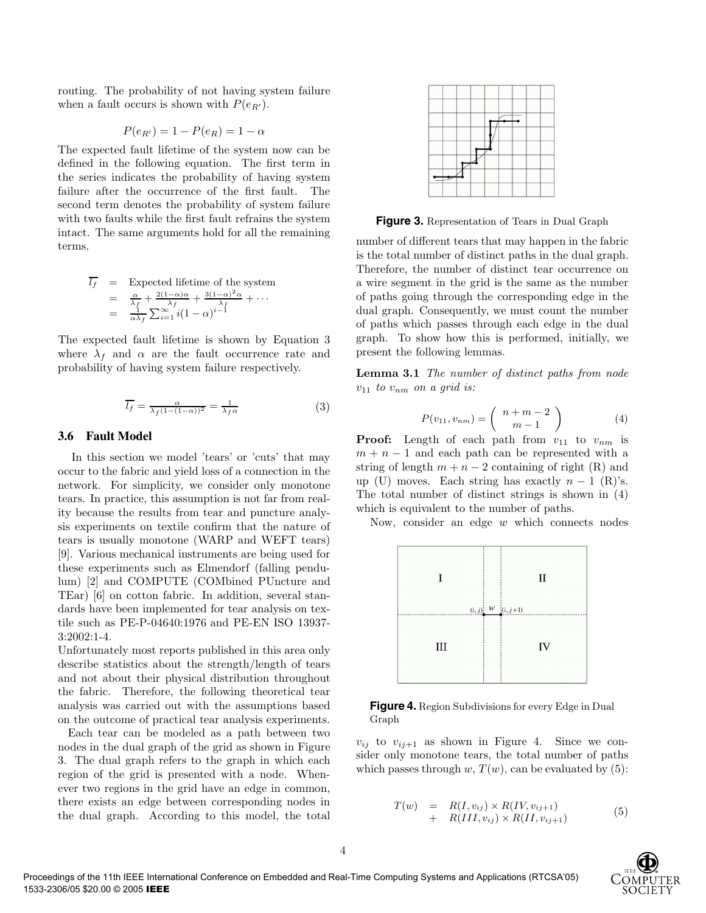routing. The probability of not having system failure when a fault occurs is shown with  $P(e_{R'})$ .

$$
P(e_{R'}) = 1 - P(e_R) = 1 - \alpha
$$

The expected fault lifetime of the system now can be defined in the following equation. The first term in the series indicates the probability of having system failure after the occurrence of the first fault. The second term denotes the probability of system failure with two faults while the first fault refrains the system intact. The same arguments hold for all the remaining terms.

$$
\overline{l_f} = \text{Expected lifetime of the system}
$$
\n
$$
= \frac{\alpha}{\lambda_f} + \frac{2(1-\alpha)\alpha}{\lambda_f} + \frac{3(1-\alpha)^2\alpha}{\lambda_f} + \cdots
$$
\n
$$
= \frac{1}{\alpha\lambda_f} \sum_{i=1}^{\infty} i(1-\alpha)^{i-1}
$$

The expected fault lifetime is shown by Equation 3 where  $\lambda_f$  and  $\alpha$  are the fault occurrence rate and probability of having system failure respectively.

$$
\overline{l_f} = \frac{\alpha}{\lambda_f (1 - (1 - \alpha))^2} = \frac{1}{\lambda_f \alpha} \tag{3}
$$

#### **3.6 Fault Model**

In this section we model 'tears' or 'cuts' that may occur to the fabric and yield loss of a connection in the network. For simplicity, we consider only monotone tears. In practice, this assumption is not far from reality because the results from tear and puncture analysis experiments on textile confirm that the nature of tears is usually monotone (WARP and WEFT tears) [9]. Various mechanical instruments are being used for these experiments such as Elmendorf (falling pendulum) [2] and COMPUTE (COMbined PUncture and TEar) [6] on cotton fabric. In addition, several standards have been implemented for tear analysis on textile such as PE-P-04640:1976 and PE-EN ISO 13937- 3:2002:1-4.

Unfortunately most reports published in this area only describe statistics about the strength/length of tears and not about their physical distribution throughout the fabric. Therefore, the following theoretical tear analysis was carried out with the assumptions based on the outcome of practical tear analysis experiments.

Each tear can be modeled as a path between two nodes in the dual graph of the grid as shown in Figure 3. The dual graph refers to the graph in which each region of the grid is presented with a node. Whenever two regions in the grid have an edge in common, there exists an edge between corresponding nodes in the dual graph. According to this model, the total



**Figure 3.** Representation of Tears in Dual Graph

number of different tears that may happen in the fabric is the total number of distinct paths in the dual graph. Therefore, the number of distinct tear occurrence on a wire segment in the grid is the same as the number of paths going through the corresponding edge in the dual graph. Consequently, we must count the number of paths which passes through each edge in the dual graph. To show how this is performed, initially, we present the following lemmas.

**Lemma 3.1** The number of distinct paths from node  $v_{11}$  to  $v_{nm}$  on a grid is:

$$
P(v_{11}, v_{nm}) = \begin{pmatrix} n+m-2 \\ m-1 \end{pmatrix}
$$
 (4)

**Proof:** Length of each path from  $v_{11}$  to  $v_{nm}$  is  $m + n - 1$  and each path can be represented with a string of length  $m + n - 2$  containing of right (R) and up (U) moves. Each string has exactly  $n-1$  (R)'s. The total number of distinct strings is shown in (4) which is equivalent to the number of paths.

Now, consider an edge  $w$  which connects nodes



**Figure 4.** Region Subdivisions for every Edge in Dual Graph

 $v_{ij}$  to  $v_{ij+1}$  as shown in Figure 4. Since we consider only monotone tears, the total number of paths which passes through w,  $T(w)$ , can be evaluated by (5):

$$
T(w) = R(I, v_{ij}) \times R(IV, v_{ij+1}) + R(III, v_{ij}) \times R(II, v_{ij+1})
$$
 (5)

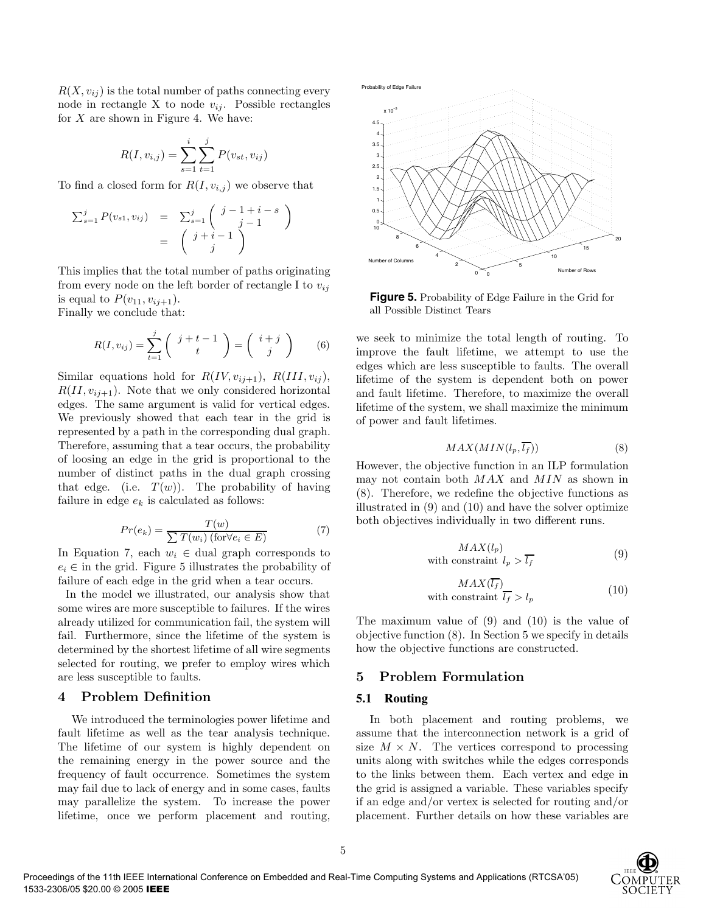$R(X, v_{ij})$  is the total number of paths connecting every node in rectangle X to node  $v_{ij}$ . Possible rectangles for  $X$  are shown in Figure 4. We have:

$$
R(I, v_{i,j}) = \sum_{s=1}^{i} \sum_{t=1}^{j} P(v_{st}, v_{ij})
$$

To find a closed form for  $R(I, v_{i,j})$  we observe that

$$
\sum_{s=1}^{j} P(v_{s1}, v_{ij}) = \sum_{s=1}^{j} \begin{pmatrix} j-1+i-s \\ j-1 \end{pmatrix}
$$

$$
= \begin{pmatrix} j+i-1 \\ j \end{pmatrix}
$$

This implies that the total number of paths originating from every node on the left border of rectangle I to  $v_{ij}$ is equal to  $P(v_{11}, v_{i,j+1})$ .

Finally we conclude that:

$$
R(I, v_{ij}) = \sum_{t=1}^{j} \left( \begin{array}{c} j+t-1 \\ t \end{array} \right) = \left( \begin{array}{c} i+j \\ j \end{array} \right) \qquad (6)
$$

Similar equations hold for  $R(IV, v_{ij+1}), R(III, v_{ij}),$  $R(II, v_{i,j+1})$ . Note that we only considered horizontal edges. The same argument is valid for vertical edges. We previously showed that each tear in the grid is represented by a path in the corresponding dual graph. Therefore, assuming that a tear occurs, the probability of loosing an edge in the grid is proportional to the number of distinct paths in the dual graph crossing that edge. (i.e.  $T(w)$ ). The probability of having failure in edge  $e_k$  is calculated as follows:

$$
Pr(e_k) = \frac{T(w)}{\sum T(w_i) \text{ (for } \forall e_i \in E)} \tag{7}
$$

In Equation 7, each  $w_i \in$  dual graph corresponds to  $e_i \in$  in the grid. Figure 5 illustrates the probability of failure of each edge in the grid when a tear occurs.

In the model we illustrated, our analysis show that some wires are more susceptible to failures. If the wires already utilized for communication fail, the system will fail. Furthermore, since the lifetime of the system is determined by the shortest lifetime of all wire segments selected for routing, we prefer to employ wires which are less susceptible to faults.

## **4 Problem Definition**

We introduced the terminologies power lifetime and fault lifetime as well as the tear analysis technique. The lifetime of our system is highly dependent on the remaining energy in the power source and the frequency of fault occurrence. Sometimes the system may fail due to lack of energy and in some cases, faults may parallelize the system. To increase the power lifetime, once we perform placement and routing,



**Figure 5.** Probability of Edge Failure in the Grid for all Possible Distinct Tears

we seek to minimize the total length of routing. To improve the fault lifetime, we attempt to use the edges which are less susceptible to faults. The overall lifetime of the system is dependent both on power and fault lifetime. Therefore, to maximize the overall lifetime of the system, we shall maximize the minimum of power and fault lifetimes.

$$
MAX(MIN(l_p, \overline{l_f})) \tag{8}
$$

However, the objective function in an ILP formulation may not contain both MAX and MIN as shown in (8). Therefore, we redefine the objective functions as illustrated in (9) and (10) and have the solver optimize both objectives individually in two different runs.

$$
MAX(l_p)
$$
\nwith constraint  $l_p > \overline{l_f}$ \n
$$
\tag{9}
$$

$$
MAX(\overline{l_f})
$$
  
with constraint  $\overline{l_f} > l_p$  (10)

The maximum value of (9) and (10) is the value of objective function (8). In Section 5 we specify in details how the objective functions are constructed.

### **5 Problem Formulation**

#### **5.1 Routing**

In both placement and routing problems, we assume that the interconnection network is a grid of size  $M \times N$ . The vertices correspond to processing units along with switches while the edges corresponds to the links between them. Each vertex and edge in the grid is assigned a variable. These variables specify if an edge and/or vertex is selected for routing and/or placement. Further details on how these variables are

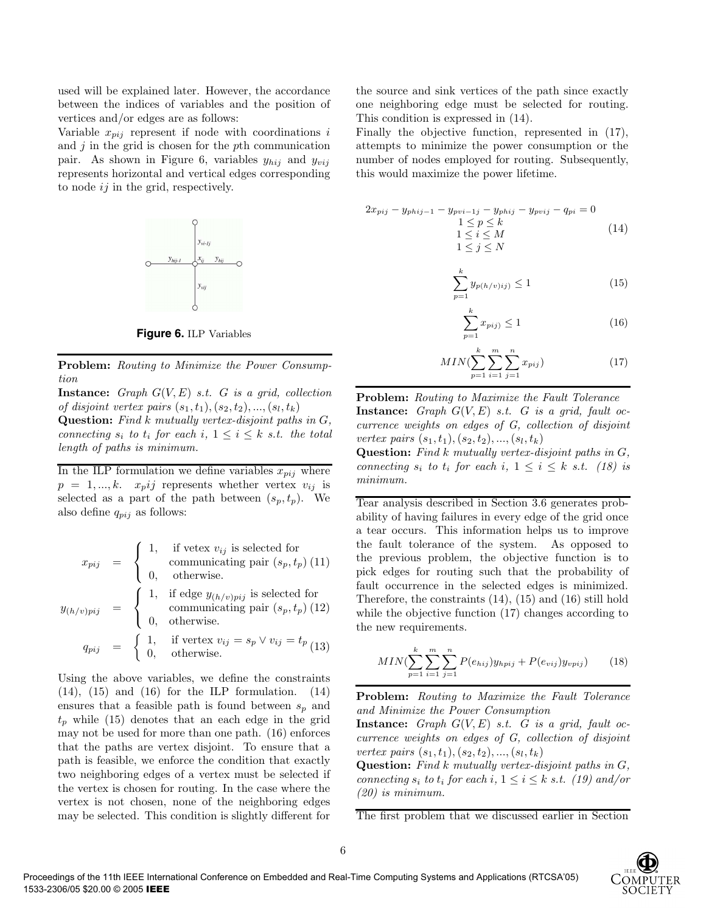used will be explained later. However, the accordance between the indices of variables and the position of vertices and/or edges are as follows:

Variable  $x_{pi}$  represent if node with coordinations i and  $j$  in the grid is chosen for the pth communication pair. As shown in Figure 6, variables  $y_{hij}$  and  $y_{vij}$ represents horizontal and vertical edges corresponding to node *ij* in the grid, respectively.



**Figure 6.** ILP Variables

**Problem:** Routing to Minimize the Power Consumption

**Instance:** Graph  $G(V, E)$  s.t. G is a grid, collection of disjoint vertex pairs  $(s_1, t_1), (s_2, t_2), ..., (s_l, t_k)$ **Question:** Find k mutually vertex-disjoint paths in G, connecting  $s_i$  to  $t_i$  for each  $i, 1 \leq i \leq k$  s.t. the total

length of paths is minimum.

In the ILP formulation we define variables  $x_{pij}$  where  $p = 1, ..., k.$   $x_p i j$  represents whether vertex  $v_{ij}$  is selected as a part of the path between  $(s_p, t_p)$ . We also define  $q_{pij}$  as follows:

$$
x_{pij} = \begin{cases} 1, & \text{if vertex } v_{ij} \text{ is selected for}\\ \text{communicating pair } (s_p, t_p) (11) \\ 0, & \text{otherwise.} \end{cases}
$$

$$
y_{(h/v)pij} = \begin{cases} 1, & \text{if edge } y_{(h/v)pij} \text{ is selected for}\\ \text{communicating pair } (s_p, t_p) (12) \\ 0, & \text{otherwise.} \end{cases}
$$

$$
q_{pij} = \begin{cases} 1, & \text{if vertex } v_{ij} = s_p \lor v_{ij} = t_p \\ 0, & \text{otherwise.} \end{cases}
$$

Using the above variables, we define the constraints  $(14)$ ,  $(15)$  and  $(16)$  for the ILP formulation.  $(14)$ ensures that a feasible path is found between  $s_n$  and  $t_p$  while (15) denotes that an each edge in the grid may not be used for more than one path. (16) enforces that the paths are vertex disjoint. To ensure that a path is feasible, we enforce the condition that exactly two neighboring edges of a vertex must be selected if the vertex is chosen for routing. In the case where the vertex is not chosen, none of the neighboring edges may be selected. This condition is slightly different for

the source and sink vertices of the path since exactly one neighboring edge must be selected for routing. This condition is expressed in (14).

Finally the objective function, represented in (17), attempts to minimize the power consumption or the number of nodes employed for routing. Subsequently, this would maximize the power lifetime.

$$
2x_{pij} - y_{phij-1} - y_{pvi-1j} - y_{phij} - y_{pvij} - q_{pi} = 0
$$
  
\n
$$
1 \le p \le k
$$
  
\n
$$
1 \le i \le M
$$
  
\n
$$
1 \le j \le N
$$
\n(14)

$$
\sum_{p=1}^{k} y_{p(h/v)ij} \le 1
$$
 (15)

$$
\sum_{p=1}^{k} x_{pij} \le 1\tag{16}
$$

$$
MIN(\sum_{p=1}^{k} \sum_{i=1}^{m} \sum_{j=1}^{n} x_{pij})
$$
\n(17)

**Problem:** Routing to Maximize the Fault Tolerance **Instance:** Graph  $G(V, E)$  s.t. G is a grid, fault occurrence weights on edges of G, collection of disjoint vertex pairs  $(s_1, t_1), (s_2, t_2), ..., (s_l, t_k)$ 

**Question:** Find k mutually vertex-disjoint paths in G, connecting  $s_i$  to  $t_i$  for each  $i, 1 \leq i \leq k$  s.t. (18) is minimum.

Tear analysis described in Section 3.6 generates probability of having failures in every edge of the grid once a tear occurs. This information helps us to improve the fault tolerance of the system. As opposed to the previous problem, the objective function is to pick edges for routing such that the probability of fault occurrence in the selected edges is minimized. Therefore, the constraints (14), (15) and (16) still hold while the objective function (17) changes according to the new requirements.

$$
MIN(\sum_{p=1}^{k} \sum_{i=1}^{m} \sum_{j=1}^{n} P(e_{hij}) y_{hpij} + P(e_{vij}) y_{vpij}) \qquad (18)
$$

**Problem:** Routing to Maximize the Fault Tolerance and Minimize the Power Consumption

**Instance:** Graph  $G(V, E)$  s.t. G is a grid, fault occurrence weights on edges of G, collection of disjoint vertex pairs  $(s_1, t_1), (s_2, t_2), ..., (s_l, t_k)$ 

**Question:** Find k mutually vertex-disjoint paths in G, connecting  $s_i$  to  $t_i$  for each  $i, 1 \leq i \leq k$  s.t. (19) and/or (20) is minimum.

The first problem that we discussed earlier in Section

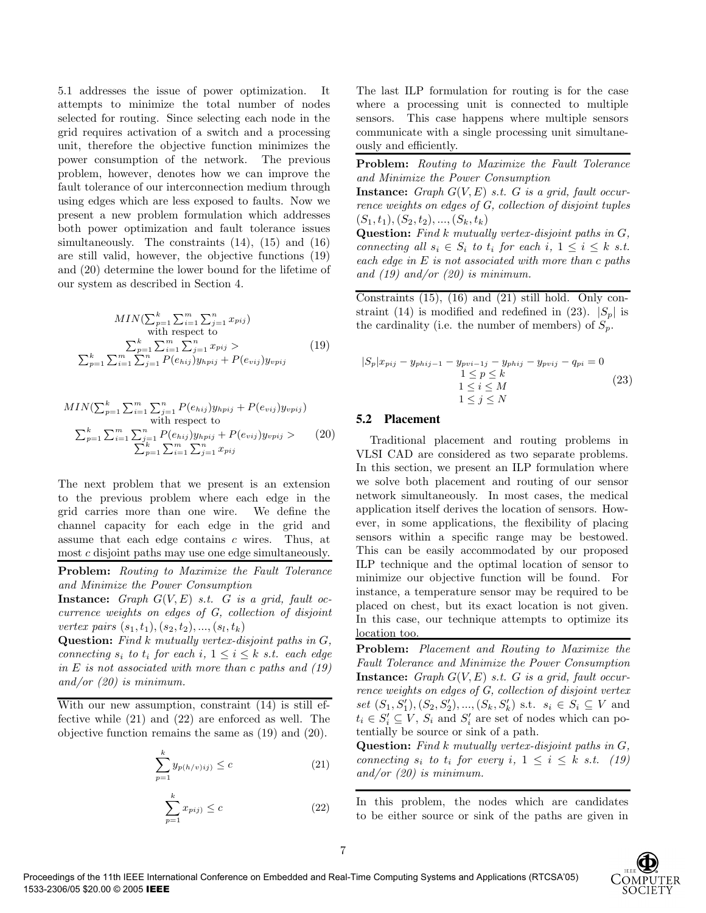5.1 addresses the issue of power optimization. It attempts to minimize the total number of nodes selected for routing. Since selecting each node in the grid requires activation of a switch and a processing unit, therefore the objective function minimizes the power consumption of the network. The previous problem, however, denotes how we can improve the fault tolerance of our interconnection medium through using edges which are less exposed to faults. Now we present a new problem formulation which addresses both power optimization and fault tolerance issues simultaneously. The constraints  $(14)$ ,  $(15)$  and  $(16)$ are still valid, however, the objective functions (19) and (20) determine the lower bound for the lifetime of our system as described in Section 4.

$$
MIN(\sum_{p=1}^{k} \sum_{i=1}^{m} \sum_{j=1}^{n} x_{pij})
$$
  
with respect to  

$$
\sum_{p=1}^{k} \sum_{i=1}^{m} \sum_{i=1}^{n} \sum_{j=1}^{n} x_{pij} >
$$

$$
\sum_{p=1}^{k} \sum_{i=1}^{m} \sum_{j=1}^{n} P(e_{hij}) y_{hpij} + P(e_{vij}) y_{vpij}
$$
(19)

$$
MIN(\sum_{p=1}^{k} \sum_{i=1}^{m} \sum_{j=1}^{n} P(e_{hij}) y_{hpij} + P(e_{vij}) y_{vpij})
$$
  
with respect to  

$$
\sum_{p=1}^{k} \sum_{i=1}^{m} \sum_{j=1}^{n} P(e_{hij}) y_{hpij} + P(e_{vij}) y_{vpij} > (20)
$$

$$
\sum_{p=1}^{k} \sum_{i=1}^{n} \sum_{j=1}^{n} x_{pij}
$$

The next problem that we present is an extension to the previous problem where each edge in the grid carries more than one wire. We define the channel capacity for each edge in the grid and assume that each edge contains c wires. Thus, at most c disjoint paths may use one edge simultaneously.

**Problem:** Routing to Maximize the Fault Tolerance and Minimize the Power Consumption

**Instance:** Graph  $G(V, E)$  s.t. G is a grid, fault occurrence weights on edges of G, collection of disjoint vertex pairs  $(s_1, t_1), (s_2, t_2), ..., (s_l, t_k)$ 

**Question:** Find k mutually vertex-disjoint paths in G, connecting  $s_i$  to  $t_i$  for each  $i, 1 \leq i \leq k$  s.t. each edge in E is not associated with more than c paths and  $(19)$ and/or (20) is minimum.

With our new assumption, constraint (14) is still effective while (21) and (22) are enforced as well. The objective function remains the same as (19) and (20).

$$
\sum_{p=1}^{k} y_{p(h/v)ij} \le c \tag{21}
$$

$$
\sum_{p=1}^{k} x_{pij} \le c \tag{22}
$$

The last ILP formulation for routing is for the case where a processing unit is connected to multiple sensors. This case happens where multiple sensors communicate with a single processing unit simultaneously and efficiently.

**Problem:** Routing to Maximize the Fault Tolerance and Minimize the Power Consumption

**Instance:** Graph  $G(V, E)$  s.t. G is a grid, fault occurrence weights on edges of G, collection of disjoint tuples  $(S_1, t_1), (S_2, t_2), ..., (S_k, t_k)$ 

**Question:** Find k mutually vertex-disjoint paths in G, connecting all  $s_i \in S_i$  to  $t_i$  for each  $i, 1 \leq i \leq k$  s.t. each edge in E is not associated with more than c paths and  $(19)$  and/or  $(20)$  is minimum.

Constraints  $(15)$ ,  $(16)$  and  $(21)$  still hold. Only constraint (14) is modified and redefined in (23).  $|S_p|$  is the cardinality (i.e. the number of members) of  $S_p$ .

$$
|S_p|x_{pij} - y_{phij-1} - y_{pvi-1j} - y_{phij} - y_{pvij} - q_{pi} = 0
$$
  
\n
$$
1 \le p \le k
$$
  
\n
$$
1 \le i \le M
$$
  
\n
$$
1 \le j \le N
$$
\n(23)

#### **5.2 Placement**

Traditional placement and routing problems in VLSI CAD are considered as two separate problems. In this section, we present an ILP formulation where we solve both placement and routing of our sensor network simultaneously. In most cases, the medical application itself derives the location of sensors. However, in some applications, the flexibility of placing sensors within a specific range may be bestowed. This can be easily accommodated by our proposed ILP technique and the optimal location of sensor to minimize our objective function will be found. For instance, a temperature sensor may be required to be placed on chest, but its exact location is not given. In this case, our technique attempts to optimize its location too.

**Problem:** Placement and Routing to Maximize the Fault Tolerance and Minimize the Power Consumption **Instance:** Graph  $G(V, E)$  s.t. G is a grid, fault occurrence weights on edges of G, collection of disjoint vertex set  $(S_1, S'_1), (S_2, S'_2), ..., (S_k, S'_k)$  s.t.  $s_i \in S_i \subseteq V$  and  $t_i \in S'_i \subseteq V$ ,  $S_i$  and  $S'_i$  are set of nodes which can potentially be source or sink of a path.

**Question:** Find k mutually vertex-disjoint paths in G, connecting  $s_i$  to  $t_i$  for every  $i, 1 \leq i \leq k$  s.t. (19) and/or  $(20)$  is minimum.

In this problem, the nodes which are candidates to be either source or sink of the paths are given in

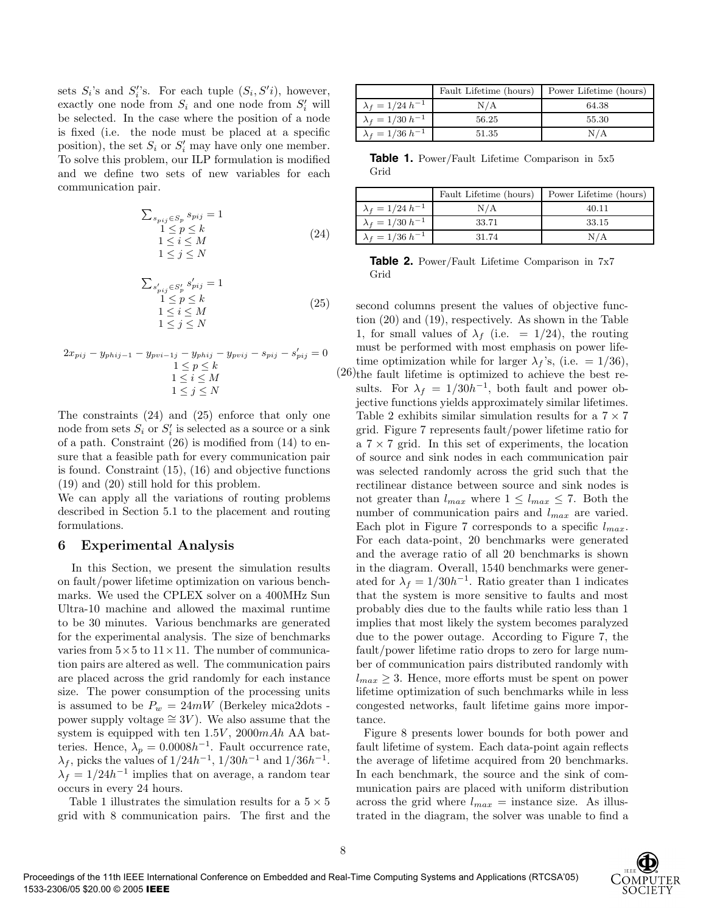sets  $S_i$ 's and  $S_i$ 's. For each tuple  $(S_i, S'i)$ , however, exactly one node from  $S_i$  and one node from  $S_i'$  will be selected. In the case where the position of a node is fixed (i.e. the node must be placed at a specific position), the set  $S_i$  or  $S'_i$  may have only one member. To solve this problem, our ILP formulation is modified and we define two sets of new variables for each communication pair.

$$
\sum_{s_{pij} \in S_p} s_{pij} = 1
$$
\n
$$
1 \le p \le k
$$
\n
$$
1 \le i \le M
$$
\n
$$
1 \le j \le N
$$
\n(24)

$$
\sum_{\substack{s'_{pij} \in S'_p \\ 1 \le p \le k \\ 1 \le i \le M}} s'_{pij} = 1
$$
\n
$$
1 \le p \le k
$$
\n
$$
1 \le j \le N
$$
\n(25)

$$
2x_{pij} - y_{phij-1} - y_{pvi-1j} - y_{phij} - y_{pvij} - s_{pij} - s'_{pij} = 0
$$
  

$$
1 \le p \le k
$$
  

$$
1 \le i \le M
$$
  

$$
1 \le j \le N
$$

The constraints (24) and (25) enforce that only one node from sets  $S_i$  or  $S'_i$  is selected as a source or a sink of a path. Constraint  $(26)$  is modified from  $(14)$  to ensure that a feasible path for every communication pair is found. Constraint (15), (16) and objective functions (19) and (20) still hold for this problem.

We can apply all the variations of routing problems described in Section 5.1 to the placement and routing formulations.

### **6 Experimental Analysis**

In this Section, we present the simulation results on fault/power lifetime optimization on various benchmarks. We used the CPLEX solver on a 400MHz Sun Ultra-10 machine and allowed the maximal runtime to be 30 minutes. Various benchmarks are generated for the experimental analysis. The size of benchmarks varies from  $5 \times 5$  to  $11 \times 11$ . The number of communication pairs are altered as well. The communication pairs are placed across the grid randomly for each instance size. The power consumption of the processing units is assumed to be  $P_w = 24mW$  (Berkeley mica2dots power supply voltage  $\cong$  3V). We also assume that the system is equipped with ten  $1.5V$ ,  $2000mAh$  AA batteries. Hence,  $\lambda_p = 0.0008h^{-1}$ . Fault occurrence rate,  $\lambda_f$ , picks the values of  $1/24h^{-1}$ ,  $1/30h^{-1}$  and  $1/36h^{-1}$ .  $\lambda_f = 1/24h^{-1}$  implies that on average, a random tear occurs in every 24 hours.

Table 1 illustrates the simulation results for a  $5 \times 5$ grid with 8 communication pairs. The first and the

|                           | Fault Lifetime (hours) | Power Lifetime (hours) |
|---------------------------|------------------------|------------------------|
| $\lambda_f = 1/24 h^{-1}$ | N/A                    | 64.38                  |
| $\lambda_f = 1/30 h^{-1}$ | 56.25                  | 55.30                  |
| $\lambda_f = 1/36 h^{-1}$ | 51.35                  | N/A                    |

**Table 1.** Power/Fault Lifetime Comparison in 5x5 Grid

|                           | Fault Lifetime (hours) | Power Lifetime (hours) |
|---------------------------|------------------------|------------------------|
| $\lambda_f = 1/24 h^{-1}$ | N/A                    | 40.11                  |
| $\lambda_f = 1/30 h^{-1}$ | 33.71                  | 33.15                  |
| $\lambda_f = 1/36 h^{-1}$ | 31.74                  | N / A                  |

**Table 2.** Power/Fault Lifetime Comparison in 7x7 Grid

(26) the fault lifetime is optimized to achieve the best resecond columns present the values of objective function (20) and (19), respectively. As shown in the Table 1, for small values of  $\lambda_f$  (i.e. = 1/24), the routing must be performed with most emphasis on power lifetime optimization while for larger  $\lambda_f$ 's, (i.e. = 1/36), sults. For  $\lambda_f = 1/30h^{-1}$ , both fault and power objective functions yields approximately similar lifetimes. Table 2 exhibits similar simulation results for a  $7 \times 7$ grid. Figure 7 represents fault/power lifetime ratio for a  $7 \times 7$  grid. In this set of experiments, the location of source and sink nodes in each communication pair was selected randomly across the grid such that the rectilinear distance between source and sink nodes is not greater than  $l_{max}$  where  $1 \leq l_{max} \leq 7$ . Both the number of communication pairs and  $l_{max}$  are varied. Each plot in Figure 7 corresponds to a specific  $l_{max}$ . For each data-point, 20 benchmarks were generated and the average ratio of all 20 benchmarks is shown in the diagram. Overall, 1540 benchmarks were generated for  $\lambda_f = 1/30h^{-1}$ . Ratio greater than 1 indicates that the system is more sensitive to faults and most probably dies due to the faults while ratio less than 1 implies that most likely the system becomes paralyzed due to the power outage. According to Figure 7, the fault/power lifetime ratio drops to zero for large number of communication pairs distributed randomly with  $l_{max} \geq 3$ . Hence, more efforts must be spent on power lifetime optimization of such benchmarks while in less congested networks, fault lifetime gains more importance.

Figure 8 presents lower bounds for both power and fault lifetime of system. Each data-point again reflects the average of lifetime acquired from 20 benchmarks. In each benchmark, the source and the sink of communication pairs are placed with uniform distribution across the grid where  $l_{max}$  = instance size. As illustrated in the diagram, the solver was unable to find a